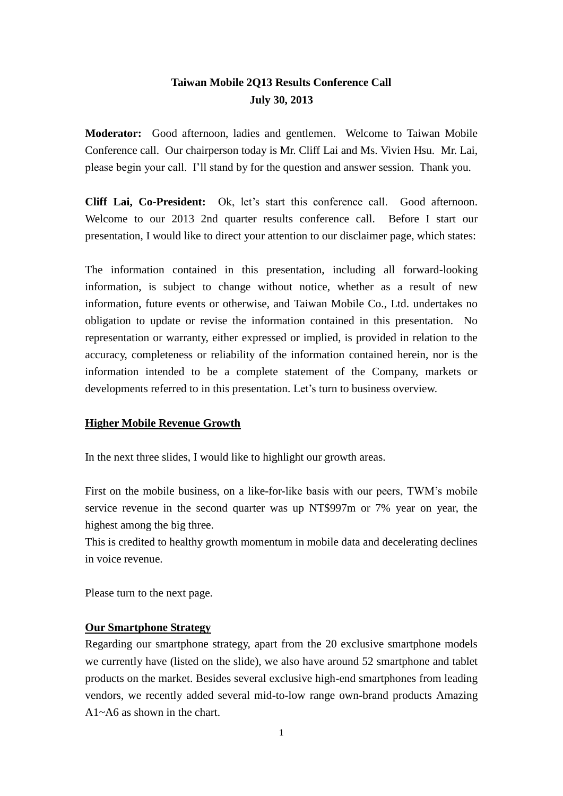# **Taiwan Mobile 2Q13 Results Conference Call July 30, 2013**

**Moderator:** Good afternoon, ladies and gentlemen. Welcome to Taiwan Mobile Conference call. Our chairperson today is Mr. Cliff Lai and Ms. Vivien Hsu. Mr. Lai, please begin your call. I'll stand by for the question and answer session. Thank you.

**Cliff Lai, Co-President:** Ok, let's start this conference call.Good afternoon. Welcome to our 2013 2nd quarter results conference call. Before I start our presentation, I would like to direct your attention to our disclaimer page, which states:

The information contained in this presentation, including all forward-looking information, is subject to change without notice, whether as a result of new information, future events or otherwise, and Taiwan Mobile Co., Ltd. undertakes no obligation to update or revise the information contained in this presentation. No representation or warranty, either expressed or implied, is provided in relation to the accuracy, completeness or reliability of the information contained herein, nor is the information intended to be a complete statement of the Company, markets or developments referred to in this presentation. Let's turn to business overview.

## **Higher Mobile Revenue Growth**

In the next three slides, I would like to highlight our growth areas.

First on the mobile business, on a like-for-like basis with our peers, TWM's mobile service revenue in the second quarter was up NT\$997m or 7% year on year, the highest among the big three.

This is credited to healthy growth momentum in mobile data and decelerating declines in voice revenue.

Please turn to the next page.

### **Our Smartphone Strategy**

Regarding our smartphone strategy, apart from the 20 exclusive smartphone models we currently have (listed on the slide), we also have around 52 smartphone and tablet products on the market. Besides several exclusive high-end smartphones from leading vendors, we recently added several mid-to-low range own-brand products Amazing  $A1 \sim A6$  as shown in the chart.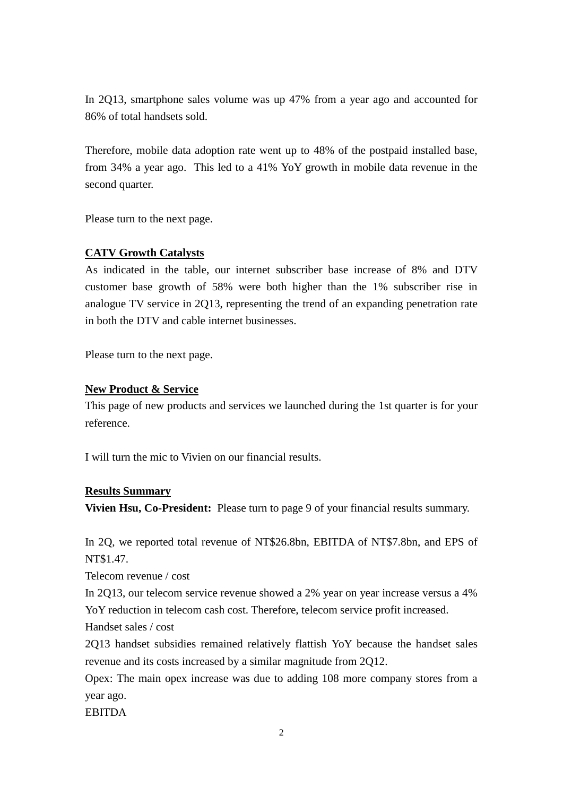In 2Q13, smartphone sales volume was up 47% from a year ago and accounted for 86% of total handsets sold.

Therefore, mobile data adoption rate went up to 48% of the postpaid installed base, from 34% a year ago. This led to a 41% YoY growth in mobile data revenue in the second quarter.

Please turn to the next page.

## **CATV Growth Catalysts**

As indicated in the table, our internet subscriber base increase of 8% and DTV customer base growth of 58% were both higher than the 1% subscriber rise in analogue TV service in 2Q13, representing the trend of an expanding penetration rate in both the DTV and cable internet businesses.

Please turn to the next page.

## **New Product & Service**

This page of new products and services we launched during the 1st quarter is for your reference.

I will turn the mic to Vivien on our financial results.

### **Results Summary**

**Vivien Hsu, Co-President:** Please turn to page 9 of your financial results summary.

In 2Q, we reported total revenue of NT\$26.8bn, EBITDA of NT\$7.8bn, and EPS of NT\$1.47.

Telecom revenue / cost

In 2Q13, our telecom service revenue showed a 2% year on year increase versus a 4% YoY reduction in telecom cash cost. Therefore, telecom service profit increased.

Handset sales / cost

2Q13 handset subsidies remained relatively flattish YoY because the handset sales revenue and its costs increased by a similar magnitude from 2Q12.

Opex: The main opex increase was due to adding 108 more company stores from a year ago.

EBITDA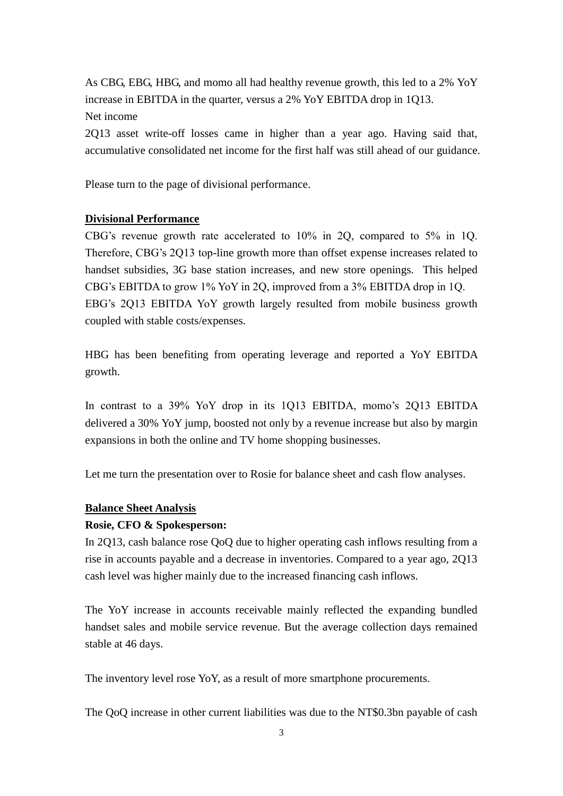As CBG, EBG, HBG, and momo all had healthy revenue growth, this led to a 2% YoY increase in EBITDA in the quarter, versus a 2% YoY EBITDA drop in 1Q13. Net income

2Q13 asset write-off losses came in higher than a year ago. Having said that, accumulative consolidated net income for the first half was still ahead of our guidance.

Please turn to the page of divisional performance.

## **Divisional Performance**

CBG's revenue growth rate accelerated to 10% in 2Q, compared to 5% in 1Q. Therefore, CBG's 2Q13 top-line growth more than offset expense increases related to handset subsidies, 3G base station increases, and new store openings. This helped CBG's EBITDA to grow 1% YoY in 2Q, improved from a 3% EBITDA drop in 1Q. EBG's 2Q13 EBITDA YoY growth largely resulted from mobile business growth coupled with stable costs/expenses.

HBG has been benefiting from operating leverage and reported a YoY EBITDA growth.

In contrast to a 39% YoY drop in its 1Q13 EBITDA, momo's 2Q13 EBITDA delivered a 30% YoY jump, boosted not only by a revenue increase but also by margin expansions in both the online and TV home shopping businesses.

Let me turn the presentation over to Rosie for balance sheet and cash flow analyses.

#### **Balance Sheet Analysis**

### **Rosie, CFO & Spokesperson:**

In 2Q13, cash balance rose QoQ due to higher operating cash inflows resulting from a rise in accounts payable and a decrease in inventories. Compared to a year ago, 2Q13 cash level was higher mainly due to the increased financing cash inflows.

The YoY increase in accounts receivable mainly reflected the expanding bundled handset sales and mobile service revenue. But the average collection days remained stable at 46 days.

The inventory level rose YoY, as a result of more smartphone procurements.

The QoQ increase in other current liabilities was due to the NT\$0.3bn payable of cash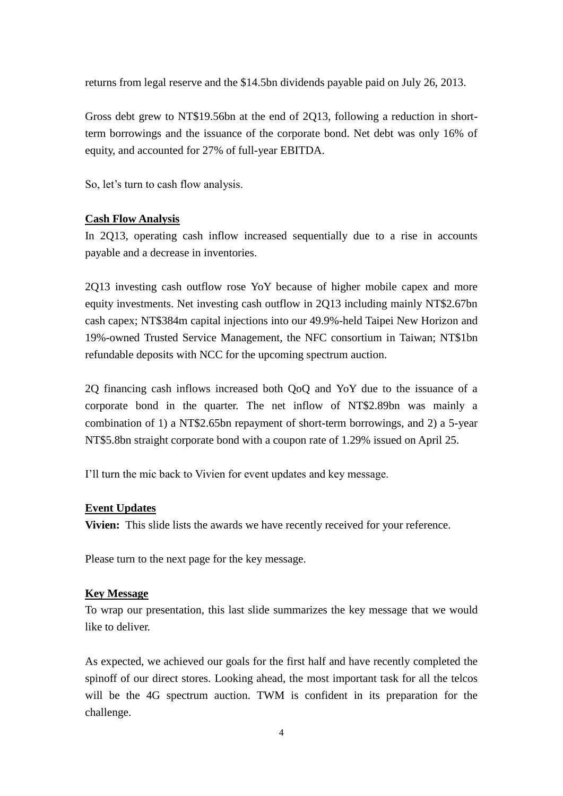returns from legal reserve and the \$14.5bn dividends payable paid on July 26, 2013.

Gross debt grew to NT\$19.56bn at the end of 2Q13, following a reduction in shortterm borrowings and the issuance of the corporate bond. Net debt was only 16% of equity, and accounted for 27% of full-year EBITDA.

So, let's turn to cash flow analysis.

## **Cash Flow Analysis**

In 2Q13, operating cash inflow increased sequentially due to a rise in accounts payable and a decrease in inventories.

2Q13 investing cash outflow rose YoY because of higher mobile capex and more equity investments. Net investing cash outflow in 2Q13 including mainly NT\$2.67bn cash capex; NT\$384m capital injections into our 49.9%-held Taipei New Horizon and 19%-owned Trusted Service Management, the NFC consortium in Taiwan; NT\$1bn refundable deposits with NCC for the upcoming spectrum auction.

2Q financing cash inflows increased both QoQ and YoY due to the issuance of a corporate bond in the quarter. The net inflow of NT\$2.89bn was mainly a combination of 1) a NT\$2.65bn repayment of short-term borrowings, and 2) a 5-year NT\$5.8bn straight corporate bond with a coupon rate of 1.29% issued on April 25.

I'll turn the mic back to Vivien for event updates and key message.

### **Event Updates**

**Vivien:** This slide lists the awards we have recently received for your reference.

Please turn to the next page for the key message.

### **Key Message**

To wrap our presentation, this last slide summarizes the key message that we would like to deliver.

As expected, we achieved our goals for the first half and have recently completed the spinoff of our direct stores. Looking ahead, the most important task for all the telcos will be the 4G spectrum auction. TWM is confident in its preparation for the challenge.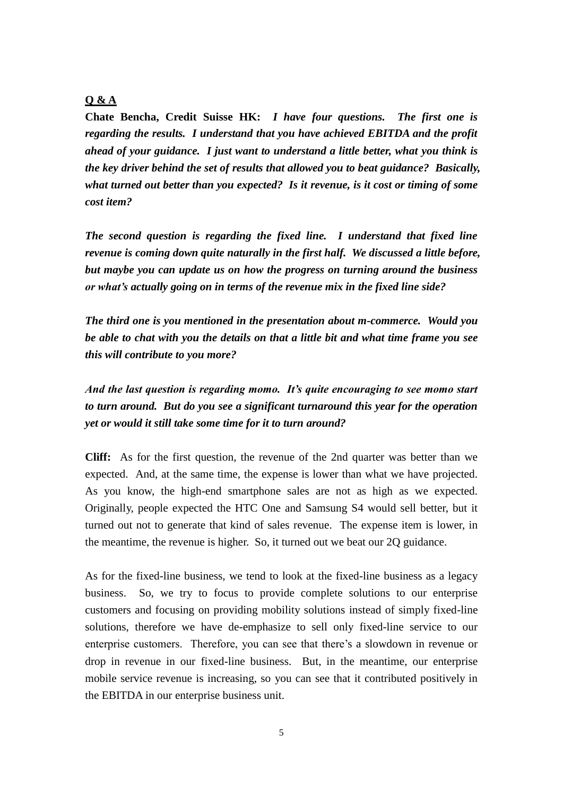# **Q & A**

**Chate Bencha, Credit Suisse HK:** *I have four questions. The first one is regarding the results. I understand that you have achieved EBITDA and the profit ahead of your guidance. I just want to understand a little better, what you think is the key driver behind the set of results that allowed you to beat guidance? Basically, what turned out better than you expected? Is it revenue, is it cost or timing of some cost item?*

*The second question is regarding the fixed line. I understand that fixed line revenue is coming down quite naturally in the first half. We discussed a little before, but maybe you can update us on how the progress on turning around the business or what's actually going on in terms of the revenue mix in the fixed line side?*

*The third one is you mentioned in the presentation about m-commerce. Would you be able to chat with you the details on that a little bit and what time frame you see this will contribute to you more?* 

*And the last question is regarding momo. It's quite encouraging to see momo start to turn around. But do you see a significant turnaround this year for the operation yet or would it still take some time for it to turn around?* 

**Cliff:** As for the first question, the revenue of the 2nd quarter was better than we expected. And, at the same time, the expense is lower than what we have projected. As you know, the high-end smartphone sales are not as high as we expected. Originally, people expected the HTC One and Samsung S4 would sell better, but it turned out not to generate that kind of sales revenue. The expense item is lower, in the meantime, the revenue is higher. So, it turned out we beat our 2Q guidance.

As for the fixed-line business, we tend to look at the fixed-line business as a legacy business. So, we try to focus to provide complete solutions to our enterprise customers and focusing on providing mobility solutions instead of simply fixed-line solutions, therefore we have de-emphasize to sell only fixed-line service to our enterprise customers. Therefore, you can see that there's a slowdown in revenue or drop in revenue in our fixed-line business. But, in the meantime, our enterprise mobile service revenue is increasing, so you can see that it contributed positively in the EBITDA in our enterprise business unit.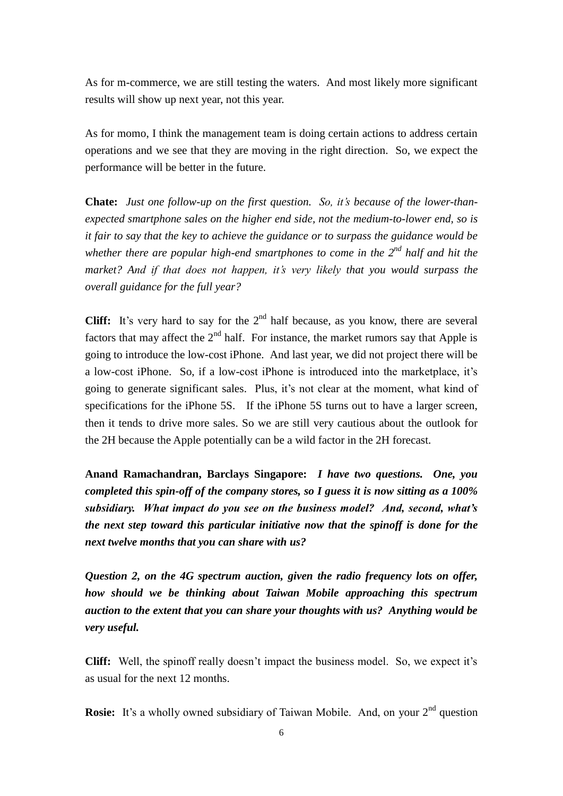As for m-commerce, we are still testing the waters. And most likely more significant results will show up next year, not this year.

As for momo, I think the management team is doing certain actions to address certain operations and we see that they are moving in the right direction. So, we expect the performance will be better in the future.

**Chate:** *Just one follow-up on the first question. So, it's because of the lower-thanexpected smartphone sales on the higher end side, not the medium-to-lower end, so is it fair to say that the key to achieve the guidance or to surpass the guidance would be whether there are popular high-end smartphones to come in the 2nd half and hit the market? And if that does not happen, it's very likely that you would surpass the overall guidance for the full year?*

**Cliff:** It's very hard to say for the  $2<sup>nd</sup>$  half because, as you know, there are several factors that may affect the  $2<sup>nd</sup>$  half. For instance, the market rumors say that Apple is going to introduce the low-cost iPhone. And last year, we did not project there will be a low-cost iPhone. So, if a low-cost iPhone is introduced into the marketplace, it's going to generate significant sales. Plus, it's not clear at the moment, what kind of specifications for the iPhone 5S. If the iPhone 5S turns out to have a larger screen, then it tends to drive more sales. So we are still very cautious about the outlook for the 2H because the Apple potentially can be a wild factor in the 2H forecast.

**Anand Ramachandran, Barclays Singapore:** *I have two questions. One, you completed this spin-off of the company stores, so I guess it is now sitting as a 100% subsidiary. What impact do you see on the business model? And, second, what's the next step toward this particular initiative now that the spinoff is done for the next twelve months that you can share with us?*

*Question 2, on the 4G spectrum auction, given the radio frequency lots on offer, how should we be thinking about Taiwan Mobile approaching this spectrum auction to the extent that you can share your thoughts with us? Anything would be very useful.*

**Cliff:** Well, the spinoff really doesn't impact the business model. So, we expect it's as usual for the next 12 months.

**Rosie:** It's a wholly owned subsidiary of Taiwan Mobile. And, on your 2<sup>nd</sup> question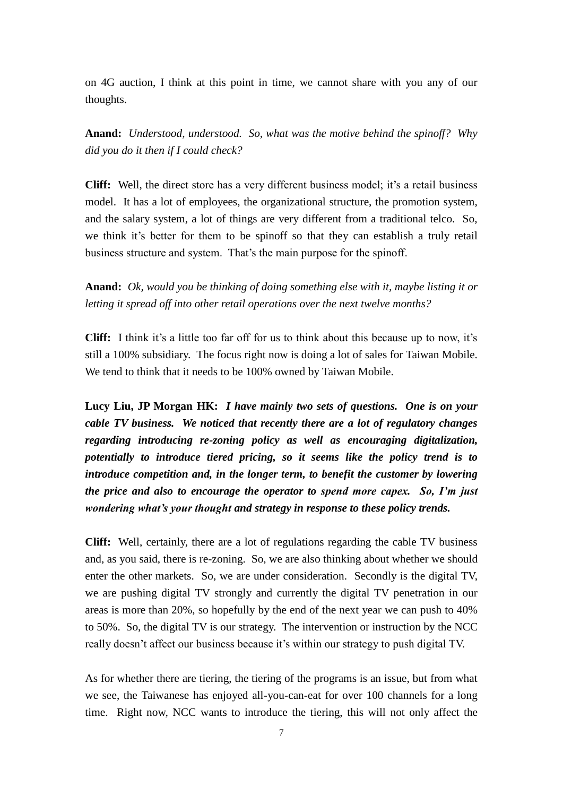on 4G auction, I think at this point in time, we cannot share with you any of our thoughts.

**Anand:** *Understood, understood. So, what was the motive behind the spinoff? Why did you do it then if I could check?*

**Cliff:** Well, the direct store has a very different business model; it's a retail business model. It has a lot of employees, the organizational structure, the promotion system, and the salary system, a lot of things are very different from a traditional telco. So, we think it's better for them to be spinoff so that they can establish a truly retail business structure and system. That's the main purpose for the spinoff.

**Anand:** *Ok, would you be thinking of doing something else with it, maybe listing it or letting it spread off into other retail operations over the next twelve months?* 

**Cliff:** I think it's a little too far off for us to think about this because up to now, it's still a 100% subsidiary. The focus right now is doing a lot of sales for Taiwan Mobile. We tend to think that it needs to be 100% owned by Taiwan Mobile.

**Lucy Liu, JP Morgan HK:** *I have mainly two sets of questions. One is on your cable TV business. We noticed that recently there are a lot of regulatory changes regarding introducing re-zoning policy as well as encouraging digitalization, potentially to introduce tiered pricing, so it seems like the policy trend is to introduce competition and, in the longer term, to benefit the customer by lowering the price and also to encourage the operator to spend more capex. So, I'm just wondering what's your thought and strategy in response to these policy trends.* 

**Cliff:** Well, certainly, there are a lot of regulations regarding the cable TV business and, as you said, there is re-zoning. So, we are also thinking about whether we should enter the other markets. So, we are under consideration. Secondly is the digital TV, we are pushing digital TV strongly and currently the digital TV penetration in our areas is more than 20%, so hopefully by the end of the next year we can push to 40% to 50%. So, the digital TV is our strategy. The intervention or instruction by the NCC really doesn't affect our business because it's within our strategy to push digital TV.

As for whether there are tiering, the tiering of the programs is an issue, but from what we see, the Taiwanese has enjoyed all-you-can-eat for over 100 channels for a long time. Right now, NCC wants to introduce the tiering, this will not only affect the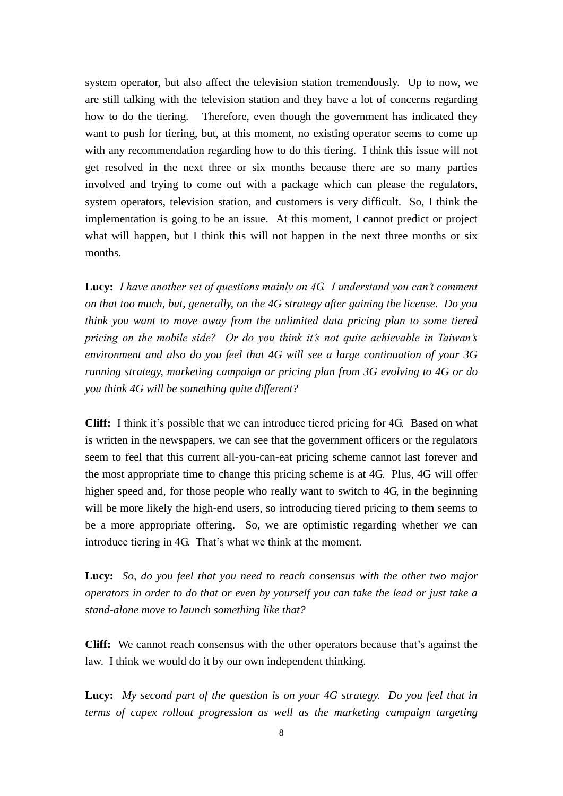system operator, but also affect the television station tremendously. Up to now, we are still talking with the television station and they have a lot of concerns regarding how to do the tiering. Therefore, even though the government has indicated they want to push for tiering, but, at this moment, no existing operator seems to come up with any recommendation regarding how to do this tiering. I think this issue will not get resolved in the next three or six months because there are so many parties involved and trying to come out with a package which can please the regulators, system operators, television station, and customers is very difficult. So, I think the implementation is going to be an issue. At this moment, I cannot predict or project what will happen, but I think this will not happen in the next three months or six months.

**Lucy:** *I have another set of questions mainly on 4G. I understand you can't comment on that too much, but, generally, on the 4G strategy after gaining the license. Do you think you want to move away from the unlimited data pricing plan to some tiered pricing on the mobile side? Or do you think it's not quite achievable in Taiwan's environment and also do you feel that 4G will see a large continuation of your 3G running strategy, marketing campaign or pricing plan from 3G evolving to 4G or do you think 4G will be something quite different?*

**Cliff:** I think it's possible that we can introduce tiered pricing for 4G. Based on what is written in the newspapers, we can see that the government officers or the regulators seem to feel that this current all-you-can-eat pricing scheme cannot last forever and the most appropriate time to change this pricing scheme is at 4G. Plus, 4G will offer higher speed and, for those people who really want to switch to 4G, in the beginning will be more likely the high-end users, so introducing tiered pricing to them seems to be a more appropriate offering. So, we are optimistic regarding whether we can introduce tiering in 4G. That's what we think at the moment.

**Lucy:** *So, do you feel that you need to reach consensus with the other two major operators in order to do that or even by yourself you can take the lead or just take a stand-alone move to launch something like that?*

**Cliff:** We cannot reach consensus with the other operators because that's against the law. I think we would do it by our own independent thinking.

**Lucy:** *My second part of the question is on your 4G strategy. Do you feel that in terms of capex rollout progression as well as the marketing campaign targeting*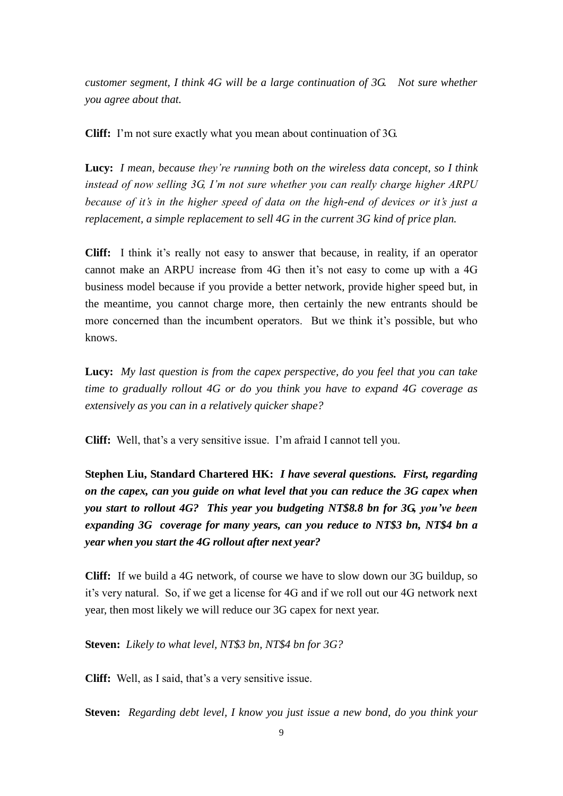*customer segment, I think 4G will be a large continuation of 3G. Not sure whether you agree about that.* 

**Cliff:** I'm not sure exactly what you mean about continuation of 3G.

**Lucy:** *I mean, because they're running both on the wireless data concept, so I think instead of now selling 3G, I'm not sure whether you can really charge higher ARPU because of it's in the higher speed of data on the high-end of devices or it's just a replacement, a simple replacement to sell 4G in the current 3G kind of price plan.*

**Cliff:** I think it's really not easy to answer that because, in reality, if an operator cannot make an ARPU increase from 4G then it's not easy to come up with a 4G business model because if you provide a better network, provide higher speed but, in the meantime, you cannot charge more, then certainly the new entrants should be more concerned than the incumbent operators. But we think it's possible, but who knows.

**Lucy:** *My last question is from the capex perspective, do you feel that you can take time to gradually rollout 4G or do you think you have to expand 4G coverage as extensively as you can in a relatively quicker shape?*

**Cliff:** Well, that's a very sensitive issue. I'm afraid I cannot tell you.

**Stephen Liu, Standard Chartered HK:** *I have several questions. First, regarding on the capex, can you guide on what level that you can reduce the 3G capex when you start to rollout 4G? This year you budgeting NT\$8.8 bn for 3G, you've been expanding 3G coverage for many years, can you reduce to NT\$3 bn, NT\$4 bn a year when you start the 4G rollout after next year?*

**Cliff:** If we build a 4G network, of course we have to slow down our 3G buildup, so it's very natural. So, if we get a license for 4G and if we roll out our 4G network next year, then most likely we will reduce our 3G capex for next year.

**Steven:** *Likely to what level, NT\$3 bn, NT\$4 bn for 3G?*

**Cliff:** Well, as I said, that's a very sensitive issue.

**Steven:** *Regarding debt level, I know you just issue a new bond, do you think your*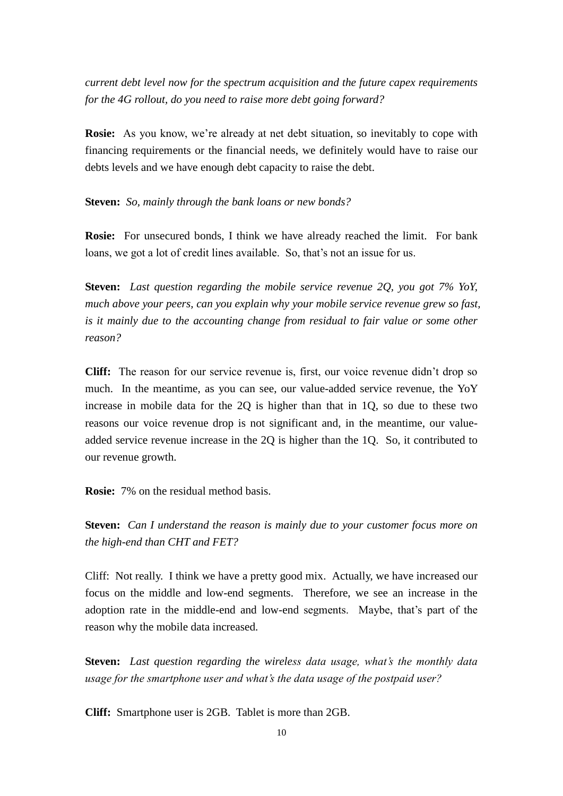*current debt level now for the spectrum acquisition and the future capex requirements for the 4G rollout, do you need to raise more debt going forward?*

**Rosie:** As you know, we're already at net debt situation, so inevitably to cope with financing requirements or the financial needs, we definitely would have to raise our debts levels and we have enough debt capacity to raise the debt.

**Steven:** *So, mainly through the bank loans or new bonds?*

**Rosie:** For unsecured bonds, I think we have already reached the limit. For bank loans, we got a lot of credit lines available. So, that's not an issue for us.

**Steven:** *Last question regarding the mobile service revenue 2Q, you got 7% YoY, much above your peers, can you explain why your mobile service revenue grew so fast, is it mainly due to the accounting change from residual to fair value or some other reason?*

**Cliff:** The reason for our service revenue is, first, our voice revenue didn't drop so much. In the meantime, as you can see, our value-added service revenue, the YoY increase in mobile data for the 2Q is higher than that in 1Q, so due to these two reasons our voice revenue drop is not significant and, in the meantime, our valueadded service revenue increase in the 2Q is higher than the 1Q. So, it contributed to our revenue growth.

**Rosie:** 7% on the residual method basis.

**Steven:** *Can I understand the reason is mainly due to your customer focus more on the high-end than CHT and FET?*

Cliff: Not really. I think we have a pretty good mix. Actually, we have increased our focus on the middle and low-end segments. Therefore, we see an increase in the adoption rate in the middle-end and low-end segments. Maybe, that's part of the reason why the mobile data increased.

**Steven:** *Last question regarding the wireless data usage, what's the monthly data usage for the smartphone user and what's the data usage of the postpaid user?* 

**Cliff:** Smartphone user is 2GB. Tablet is more than 2GB.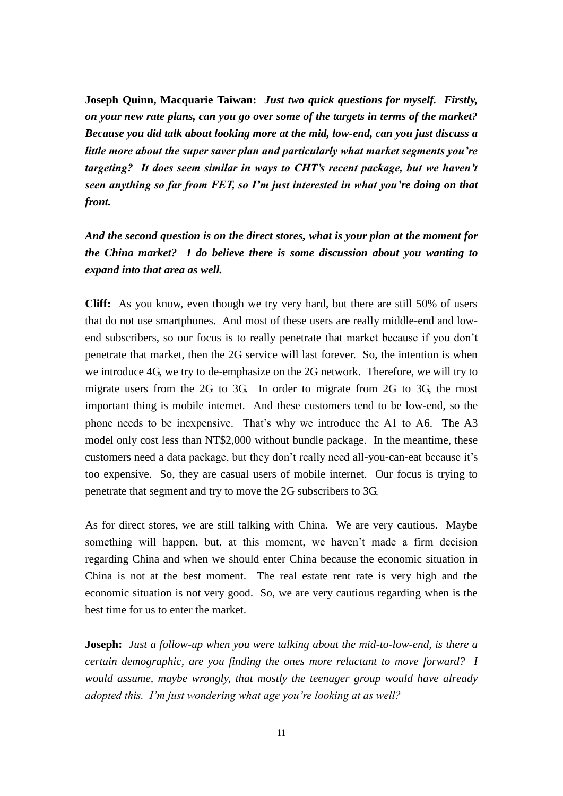**Joseph Quinn, Macquarie Taiwan:** *Just two quick questions for myself. Firstly, on your new rate plans, can you go over some of the targets in terms of the market? Because you did talk about looking more at the mid, low-end, can you just discuss a little more about the super saver plan and particularly what market segments you're targeting? It does seem similar in ways to CHT's recent package, but we haven't seen anything so far from FET, so I'm just interested in what you're doing on that front.*

*And the second question is on the direct stores, what is your plan at the moment for the China market? I do believe there is some discussion about you wanting to expand into that area as well.*

**Cliff:** As you know, even though we try very hard, but there are still 50% of users that do not use smartphones. And most of these users are really middle-end and lowend subscribers, so our focus is to really penetrate that market because if you don't penetrate that market, then the 2G service will last forever. So, the intention is when we introduce 4G, we try to de-emphasize on the 2G network. Therefore, we will try to migrate users from the 2G to 3G. In order to migrate from 2G to 3G, the most important thing is mobile internet. And these customers tend to be low-end, so the phone needs to be inexpensive. That's why we introduce the A1 to A6. The A3 model only cost less than NT\$2,000 without bundle package. In the meantime, these customers need a data package, but they don't really need all-you-can-eat because it's too expensive. So, they are casual users of mobile internet. Our focus is trying to penetrate that segment and try to move the 2G subscribers to 3G.

As for direct stores, we are still talking with China. We are very cautious. Maybe something will happen, but, at this moment, we haven't made a firm decision regarding China and when we should enter China because the economic situation in China is not at the best moment. The real estate rent rate is very high and the economic situation is not very good. So, we are very cautious regarding when is the best time for us to enter the market.

**Joseph:** *Just a follow-up when you were talking about the mid-to-low-end, is there a certain demographic, are you finding the ones more reluctant to move forward? I would assume, maybe wrongly, that mostly the teenager group would have already adopted this. I'm just wondering what age you're looking at as well?*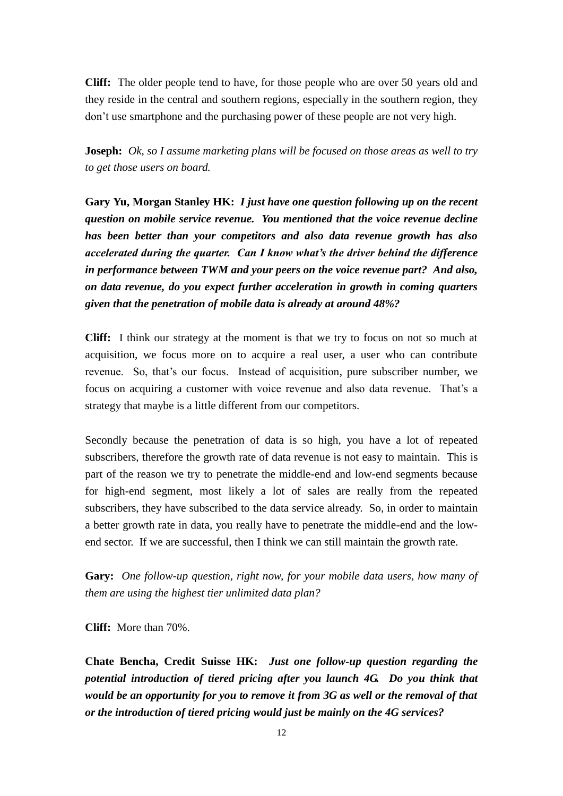**Cliff:** The older people tend to have, for those people who are over 50 years old and they reside in the central and southern regions, especially in the southern region, they don't use smartphone and the purchasing power of these people are not very high.

**Joseph:** *Ok, so I assume marketing plans will be focused on those areas as well to try to get those users on board.* 

**Gary Yu, Morgan Stanley HK:** *I just have one question following up on the recent question on mobile service revenue. You mentioned that the voice revenue decline has been better than your competitors and also data revenue growth has also accelerated during the quarter. Can I know what's the driver behind the difference in performance between TWM and your peers on the voice revenue part? And also, on data revenue, do you expect further acceleration in growth in coming quarters given that the penetration of mobile data is already at around 48%?*

**Cliff:** I think our strategy at the moment is that we try to focus on not so much at acquisition, we focus more on to acquire a real user, a user who can contribute revenue. So, that's our focus. Instead of acquisition, pure subscriber number, we focus on acquiring a customer with voice revenue and also data revenue. That's a strategy that maybe is a little different from our competitors.

Secondly because the penetration of data is so high, you have a lot of repeated subscribers, therefore the growth rate of data revenue is not easy to maintain. This is part of the reason we try to penetrate the middle-end and low-end segments because for high-end segment, most likely a lot of sales are really from the repeated subscribers, they have subscribed to the data service already. So, in order to maintain a better growth rate in data, you really have to penetrate the middle-end and the lowend sector. If we are successful, then I think we can still maintain the growth rate.

**Gary:** *One follow-up question, right now, for your mobile data users, how many of them are using the highest tier unlimited data plan?* 

**Cliff:** More than 70%.

**Chate Bencha, Credit Suisse HK:** *Just one follow-up question regarding the potential introduction of tiered pricing after you launch 4G. Do you think that would be an opportunity for you to remove it from 3G as well or the removal of that or the introduction of tiered pricing would just be mainly on the 4G services?*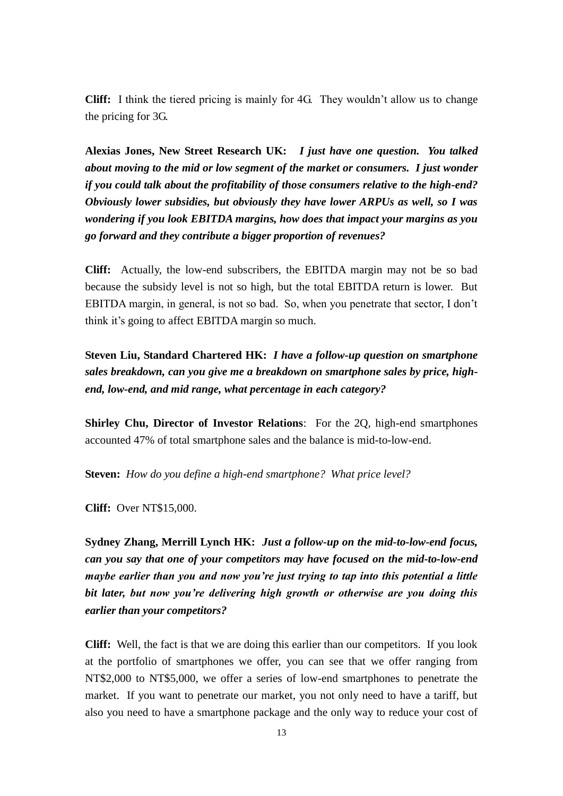**Cliff:** I think the tiered pricing is mainly for 4G. They wouldn't allow us to change the pricing for 3G.

**Alexias Jones, New Street Research UK:** *I just have one question. You talked about moving to the mid or low segment of the market or consumers. I just wonder if you could talk about the profitability of those consumers relative to the high-end? Obviously lower subsidies, but obviously they have lower ARPUs as well, so I was wondering if you look EBITDA margins, how does that impact your margins as you go forward and they contribute a bigger proportion of revenues?* 

**Cliff:** Actually, the low-end subscribers, the EBITDA margin may not be so bad because the subsidy level is not so high, but the total EBITDA return is lower. But EBITDA margin, in general, is not so bad. So, when you penetrate that sector, I don't think it's going to affect EBITDA margin so much.

**Steven Liu, Standard Chartered HK:** *I have a follow-up question on smartphone sales breakdown, can you give me a breakdown on smartphone sales by price, highend, low-end, and mid range, what percentage in each category?*

**Shirley Chu, Director of Investor Relations**: For the 2Q, high-end smartphones accounted 47% of total smartphone sales and the balance is mid-to-low-end.

**Steven:** *How do you define a high-end smartphone? What price level?*

**Cliff:** Over NT\$15,000.

**Sydney Zhang, Merrill Lynch HK:** *Just a follow-up on the mid-to-low-end focus, can you say that one of your competitors may have focused on the mid-to-low-end maybe earlier than you and now you're just trying to tap into this potential a little bit later, but now you're delivering high growth or otherwise are you doing this earlier than your competitors?*

**Cliff:** Well, the fact is that we are doing this earlier than our competitors. If you look at the portfolio of smartphones we offer, you can see that we offer ranging from NT\$2,000 to NT\$5,000, we offer a series of low-end smartphones to penetrate the market. If you want to penetrate our market, you not only need to have a tariff, but also you need to have a smartphone package and the only way to reduce your cost of